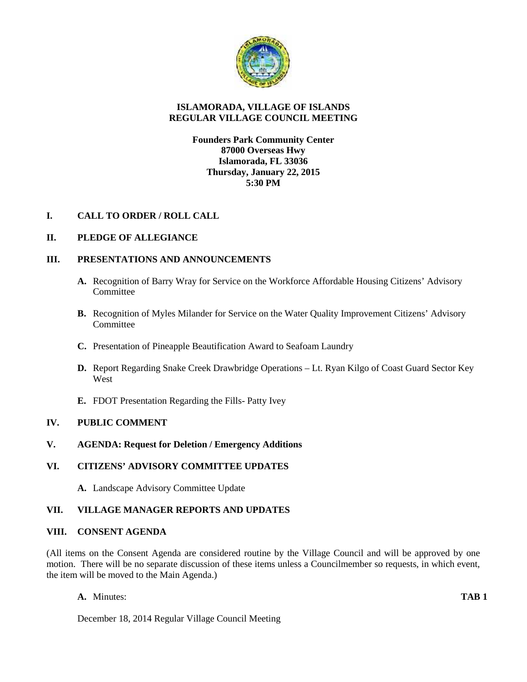

## **ISLAMORADA, VILLAGE OF ISLANDS REGULAR VILLAGE COUNCIL MEETING**

## **Founders Park Community Center 87000 Overseas Hwy Islamorada, FL 33036 Thursday, January 22, 2015 5:30 PM**

# **I. CALL TO ORDER / ROLL CALL**

## **II. PLEDGE OF ALLEGIANCE**

## **III. PRESENTATIONS AND ANNOUNCEMENTS**

- **A.** Recognition of Barry Wray for Service on the Workforce Affordable Housing Citizens' Advisory **Committee**
- **B.** Recognition of Myles Milander for Service on the Water Quality Improvement Citizens' Advisory Committee
- **C.** Presentation of Pineapple Beautification Award to Seafoam Laundry
- **D.** Report Regarding Snake Creek Drawbridge Operations Lt. Ryan Kilgo of Coast Guard Sector Key West
- **E.** FDOT Presentation Regarding the Fills- Patty Ivey

## **IV. PUBLIC COMMENT**

## **V. AGENDA: Request for Deletion / Emergency Additions**

### **VI. CITIZENS' ADVISORY COMMITTEE UPDATES**

**A.** Landscape Advisory Committee Update

### **VII. VILLAGE MANAGER REPORTS AND UPDATES**

### **VIII. CONSENT AGENDA**

(All items on the Consent Agenda are considered routine by the Village Council and will be approved by one motion. There will be no separate discussion of these items unless a Councilmember so requests, in which event, the item will be moved to the Main Agenda.)

**A.** Minutes: **TAB 1**

December 18, 2014 Regular Village Council Meeting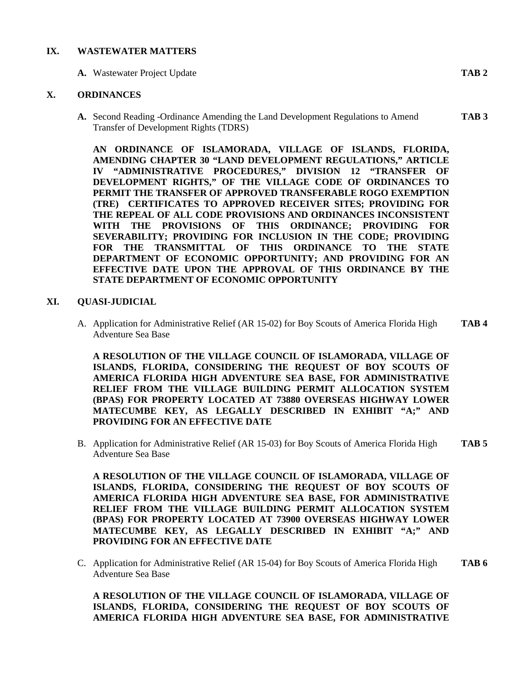#### **IX. WASTEWATER MATTERS**

**A.** Wastewater Project Update **TAB 2**

### **X. ORDINANCES**

**A.** Second Reading -Ordinance Amending the Land Development Regulations to Amend **TAB 3** Transfer of Development Rights (TDRS)

**AN ORDINANCE OF ISLAMORADA, VILLAGE OF ISLANDS, FLORIDA, AMENDING CHAPTER 30 "LAND DEVELOPMENT REGULATIONS," ARTICLE IV "ADMINISTRATIVE PROCEDURES," DIVISION 12 "TRANSFER OF DEVELOPMENT RIGHTS," OF THE VILLAGE CODE OF ORDINANCES TO PERMIT THE TRANSFER OF APPROVED TRANSFERABLE ROGO EXEMPTION (TRE) CERTIFICATES TO APPROVED RECEIVER SITES; PROVIDING FOR THE REPEAL OF ALL CODE PROVISIONS AND ORDINANCES INCONSISTENT WITH THE PROVISIONS OF THIS ORDINANCE; PROVIDING FOR SEVERABILITY; PROVIDING FOR INCLUSION IN THE CODE; PROVIDING FOR THE TRANSMITTAL OF THIS ORDINANCE TO THE STATE DEPARTMENT OF ECONOMIC OPPORTUNITY; AND PROVIDING FOR AN EFFECTIVE DATE UPON THE APPROVAL OF THIS ORDINANCE BY THE STATE DEPARTMENT OF ECONOMIC OPPORTUNITY**

#### **XI. QUASI-JUDICIAL**

A. Application for Administrative Relief (AR 15-02) for Boy Scouts of America Florida High **TAB 4** Adventure Sea Base

**A RESOLUTION OF THE VILLAGE COUNCIL OF ISLAMORADA, VILLAGE OF ISLANDS, FLORIDA, CONSIDERING THE REQUEST OF BOY SCOUTS OF AMERICA FLORIDA HIGH ADVENTURE SEA BASE, FOR ADMINISTRATIVE RELIEF FROM THE VILLAGE BUILDING PERMIT ALLOCATION SYSTEM (BPAS) FOR PROPERTY LOCATED AT 73880 OVERSEAS HIGHWAY LOWER MATECUMBE KEY, AS LEGALLY DESCRIBED IN EXHIBIT "A;" AND PROVIDING FOR AN EFFECTIVE DATE**

B. Application for Administrative Relief (AR 15-03) for Boy Scouts of America Florida High **TAB 5** Adventure Sea Base

**A RESOLUTION OF THE VILLAGE COUNCIL OF ISLAMORADA, VILLAGE OF ISLANDS, FLORIDA, CONSIDERING THE REQUEST OF BOY SCOUTS OF AMERICA FLORIDA HIGH ADVENTURE SEA BASE, FOR ADMINISTRATIVE RELIEF FROM THE VILLAGE BUILDING PERMIT ALLOCATION SYSTEM (BPAS) FOR PROPERTY LOCATED AT 73900 OVERSEAS HIGHWAY LOWER MATECUMBE KEY, AS LEGALLY DESCRIBED IN EXHIBIT "A;" AND PROVIDING FOR AN EFFECTIVE DATE**

C. Application for Administrative Relief (AR 15-04) for Boy Scouts of America Florida High **TAB 6** Adventure Sea Base

## **A RESOLUTION OF THE VILLAGE COUNCIL OF ISLAMORADA, VILLAGE OF ISLANDS, FLORIDA, CONSIDERING THE REQUEST OF BOY SCOUTS OF AMERICA FLORIDA HIGH ADVENTURE SEA BASE, FOR ADMINISTRATIVE**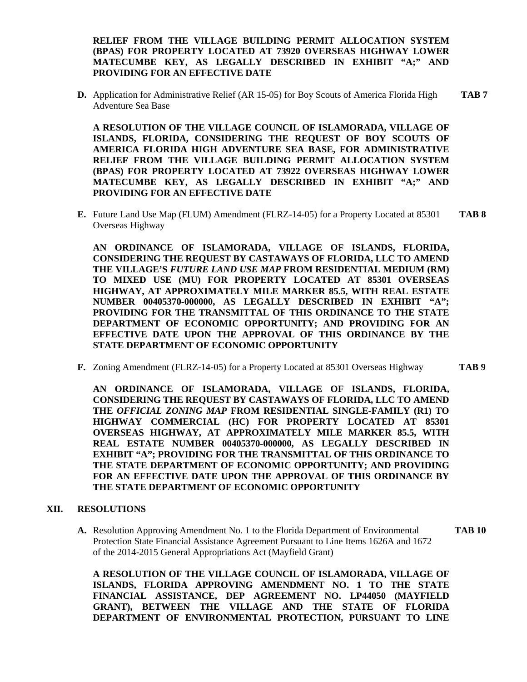**RELIEF FROM THE VILLAGE BUILDING PERMIT ALLOCATION SYSTEM (BPAS) FOR PROPERTY LOCATED AT 73920 OVERSEAS HIGHWAY LOWER MATECUMBE KEY, AS LEGALLY DESCRIBED IN EXHIBIT "A;" AND PROVIDING FOR AN EFFECTIVE DATE**

**D.** Application for Administrative Relief (AR 15-05) for Boy Scouts of America Florida High **TAB 7** Adventure Sea Base

**A RESOLUTION OF THE VILLAGE COUNCIL OF ISLAMORADA, VILLAGE OF ISLANDS, FLORIDA, CONSIDERING THE REQUEST OF BOY SCOUTS OF AMERICA FLORIDA HIGH ADVENTURE SEA BASE, FOR ADMINISTRATIVE RELIEF FROM THE VILLAGE BUILDING PERMIT ALLOCATION SYSTEM (BPAS) FOR PROPERTY LOCATED AT 73922 OVERSEAS HIGHWAY LOWER MATECUMBE KEY, AS LEGALLY DESCRIBED IN EXHIBIT "A;" AND PROVIDING FOR AN EFFECTIVE DATE**

**E.** Future Land Use Map (FLUM) Amendment (FLRZ-14-05) for a Property Located at 85301 **TAB 8** Overseas Highway

**AN ORDINANCE OF ISLAMORADA, VILLAGE OF ISLANDS, FLORIDA, CONSIDERING THE REQUEST BY CASTAWAYS OF FLORIDA, LLC TO AMEND THE VILLAGE'S** *FUTURE LAND USE MAP* **FROM RESIDENTIAL MEDIUM (RM) TO MIXED USE (MU) FOR PROPERTY LOCATED AT 85301 OVERSEAS HIGHWAY, AT APPROXIMATELY MILE MARKER 85.5, WITH REAL ESTATE NUMBER 00405370-000000, AS LEGALLY DESCRIBED IN EXHIBIT "A"; PROVIDING FOR THE TRANSMITTAL OF THIS ORDINANCE TO THE STATE DEPARTMENT OF ECONOMIC OPPORTUNITY; AND PROVIDING FOR AN EFFECTIVE DATE UPON THE APPROVAL OF THIS ORDINANCE BY THE STATE DEPARTMENT OF ECONOMIC OPPORTUNITY**

**F.** Zoning Amendment (FLRZ-14-05) for a Property Located at 85301 Overseas Highway **TAB 9**

**AN ORDINANCE OF ISLAMORADA, VILLAGE OF ISLANDS, FLORIDA, CONSIDERING THE REQUEST BY CASTAWAYS OF FLORIDA, LLC TO AMEND THE** *OFFICIAL ZONING MAP* **FROM RESIDENTIAL SINGLE-FAMILY (R1) TO HIGHWAY COMMERCIAL (HC) FOR PROPERTY LOCATED AT 85301 OVERSEAS HIGHWAY, AT APPROXIMATELY MILE MARKER 85.5, WITH REAL ESTATE NUMBER 00405370-000000, AS LEGALLY DESCRIBED IN EXHIBIT "A"; PROVIDING FOR THE TRANSMITTAL OF THIS ORDINANCE TO THE STATE DEPARTMENT OF ECONOMIC OPPORTUNITY; AND PROVIDING FOR AN EFFECTIVE DATE UPON THE APPROVAL OF THIS ORDINANCE BY THE STATE DEPARTMENT OF ECONOMIC OPPORTUNITY**

### **XII. RESOLUTIONS**

**A.** Resolution Approving Amendment No. 1 to the Florida Department of Environmental **TAB 10** Protection State Financial Assistance Agreement Pursuant to Line Items 1626A and 1672 of the 2014-2015 General Appropriations Act (Mayfield Grant)

**A RESOLUTION OF THE VILLAGE COUNCIL OF ISLAMORADA, VILLAGE OF ISLANDS, FLORIDA APPROVING AMENDMENT NO. 1 TO THE STATE FINANCIAL ASSISTANCE, DEP AGREEMENT NO. LP44050 (MAYFIELD GRANT), BETWEEN THE VILLAGE AND THE STATE OF FLORIDA DEPARTMENT OF ENVIRONMENTAL PROTECTION, PURSUANT TO LINE**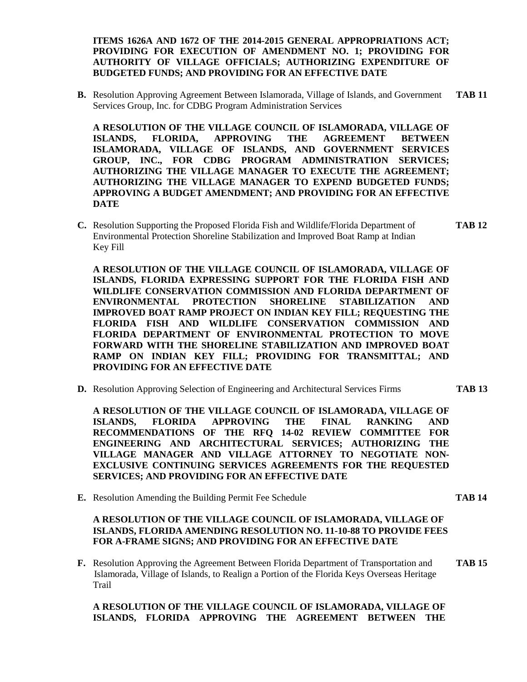**ITEMS 1626A AND 1672 OF THE 2014-2015 GENERAL APPROPRIATIONS ACT; PROVIDING FOR EXECUTION OF AMENDMENT NO. 1; PROVIDING FOR AUTHORITY OF VILLAGE OFFICIALS; AUTHORIZING EXPENDITURE OF BUDGETED FUNDS; AND PROVIDING FOR AN EFFECTIVE DATE**

**B.** Resolution Approving Agreement Between Islamorada, Village of Islands, and Government **TAB 11** Services Group, Inc. for CDBG Program Administration Services

**A RESOLUTION OF THE VILLAGE COUNCIL OF ISLAMORADA, VILLAGE OF ISLANDS, FLORIDA, APPROVING THE AGREEMENT BETWEEN ISLAMORADA, VILLAGE OF ISLANDS, AND GOVERNMENT SERVICES GROUP, INC., FOR CDBG PROGRAM ADMINISTRATION SERVICES; AUTHORIZING THE VILLAGE MANAGER TO EXECUTE THE AGREEMENT; AUTHORIZING THE VILLAGE MANAGER TO EXPEND BUDGETED FUNDS; APPROVING A BUDGET AMENDMENT; AND PROVIDING FOR AN EFFECTIVE DATE**

**C.** Resolution Supporting the Proposed Florida Fish and Wildlife/Florida Department of **TAB 12** Environmental Protection Shoreline Stabilization and Improved Boat Ramp at Indian Key Fill

**A RESOLUTION OF THE VILLAGE COUNCIL OF ISLAMORADA, VILLAGE OF ISLANDS, FLORIDA EXPRESSING SUPPORT FOR THE FLORIDA FISH AND WILDLIFE CONSERVATION COMMISSION AND FLORIDA DEPARTMENT OF ENVIRONMENTAL PROTECTION SHORELINE STABILIZATION AND IMPROVED BOAT RAMP PROJECT ON INDIAN KEY FILL; REQUESTING THE FLORIDA FISH AND WILDLIFE CONSERVATION COMMISSION AND FLORIDA DEPARTMENT OF ENVIRONMENTAL PROTECTION TO MOVE FORWARD WITH THE SHORELINE STABILIZATION AND IMPROVED BOAT RAMP ON INDIAN KEY FILL; PROVIDING FOR TRANSMITTAL; AND PROVIDING FOR AN EFFECTIVE DATE**

**D.** Resolution Approving Selection of Engineering and Architectural Services Firms **TAB 13**

**A RESOLUTION OF THE VILLAGE COUNCIL OF ISLAMORADA, VILLAGE OF ISLANDS, FLORIDA APPROVING THE FINAL RANKING AND RECOMMENDATIONS OF THE RFQ 14-02 REVIEW COMMITTEE FOR ENGINEERING AND ARCHITECTURAL SERVICES; AUTHORIZING THE VILLAGE MANAGER AND VILLAGE ATTORNEY TO NEGOTIATE NON- EXCLUSIVE CONTINUING SERVICES AGREEMENTS FOR THE REQUESTED SERVICES; AND PROVIDING FOR AN EFFECTIVE DATE**

**E.** Resolution Amending the Building Permit Fee Schedule **TAB 14**

## **A RESOLUTION OF THE VILLAGE COUNCIL OF ISLAMORADA, VILLAGE OF ISLANDS, FLORIDA AMENDING RESOLUTION NO. 11-10-88 TO PROVIDE FEES FOR A-FRAME SIGNS; AND PROVIDING FOR AN EFFECTIVE DATE**

**F.** Resolution Approving the Agreement Between Florida Department of Transportation and **TAB 15** Islamorada, Village of Islands, to Realign a Portion of the Florida Keys Overseas Heritage Trail

## **A RESOLUTION OF THE VILLAGE COUNCIL OF ISLAMORADA, VILLAGE OF ISLANDS, FLORIDA APPROVING THE AGREEMENT BETWEEN THE**